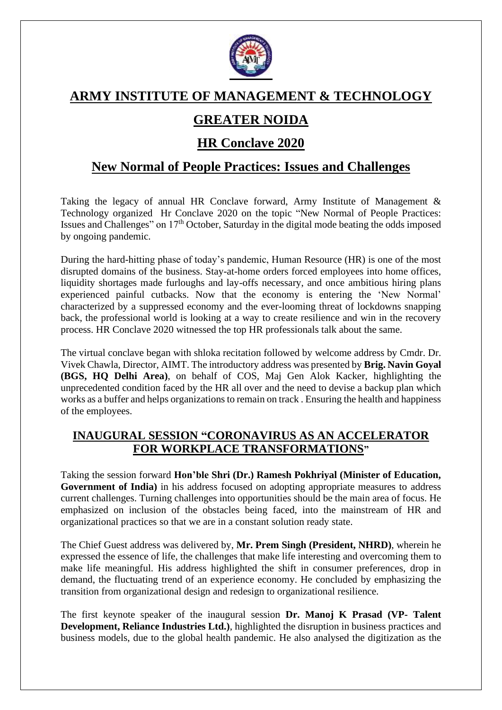

# **ARMY INSTITUTE OF MANAGEMENT & TECHNOLOGY**

# **GREATER NOIDA**

## **HR Conclave 2020**

## **New Normal of People Practices: Issues and Challenges**

Taking the legacy of annual HR Conclave forward, Army Institute of Management & Technology organized Hr Conclave 2020 on the topic "New Normal of People Practices: Issues and Challenges" on  $17<sup>th</sup>$  October, Saturday in the digital mode beating the odds imposed by ongoing pandemic.

During the hard-hitting phase of today's pandemic, Human Resource (HR) is one of the most disrupted domains of the business. Stay-at-home orders forced employees into home offices, liquidity shortages made furloughs and lay-offs necessary, and once ambitious hiring plans experienced painful cutbacks. Now that the economy is entering the 'New Normal' characterized by a suppressed economy and the ever-looming threat of lockdowns snapping back, the professional world is looking at a way to create resilience and win in the recovery process. HR Conclave 2020 witnessed the top HR professionals talk about the same.

The virtual conclave began with shloka recitation followed by welcome address by Cmdr. Dr. Vivek Chawla, Director, AIMT. The introductory address was presented by **Brig. Navin Goyal (BGS, HQ Delhi Area)**, on behalf of COS, Maj Gen Alok Kacker, highlighting the unprecedented condition faced by the HR all over and the need to devise a backup plan which works as a buffer and helps organizations to remain on track . Ensuring the health and happiness of the employees.

### **INAUGURAL SESSION "CORONAVIRUS AS AN ACCELERATOR FOR WORKPLACE TRANSFORMATIONS"**

Taking the session forward **Hon'ble Shri (Dr.) Ramesh Pokhriyal (Minister of Education, Government of India)** in his address focused on adopting appropriate measures to address current challenges. Turning challenges into opportunities should be the main area of focus. He emphasized on inclusion of the obstacles being faced, into the mainstream of HR and organizational practices so that we are in a constant solution ready state.

The Chief Guest address was delivered by, **Mr. Prem Singh (President, NHRD)**, wherein he expressed the essence of life, the challenges that make life interesting and overcoming them to make life meaningful. His address highlighted the shift in consumer preferences, drop in demand, the fluctuating trend of an experience economy. He concluded by emphasizing the transition from organizational design and redesign to organizational resilience.

The first keynote speaker of the inaugural session **Dr. Manoj K Prasad (VP- Talent Development, Reliance Industries Ltd.)**, highlighted the disruption in business practices and business models, due to the global health pandemic. He also analysed the digitization as the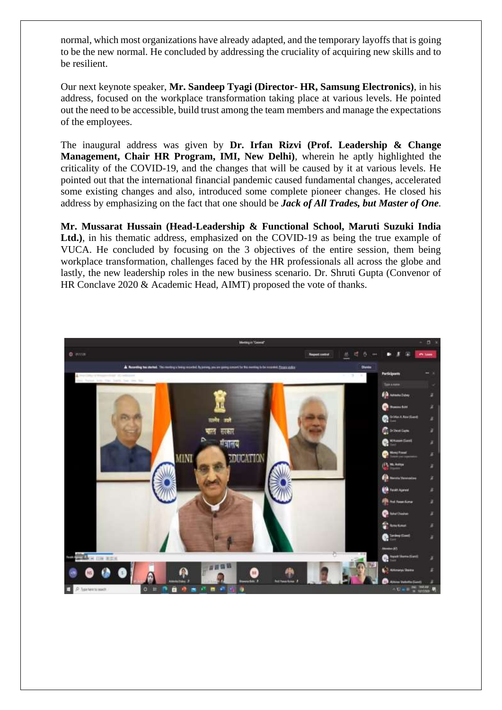normal, which most organizations have already adapted, and the temporary layoffs that is going to be the new normal. He concluded by addressing the cruciality of acquiring new skills and to be resilient.

Our next keynote speaker, **Mr. Sandeep Tyagi (Director- HR, Samsung Electronics)**, in his address, focused on the workplace transformation taking place at various levels. He pointed out the need to be accessible, build trust among the team members and manage the expectations of the employees.

The inaugural address was given by **Dr. Irfan Rizvi (Prof. Leadership & Change Management, Chair HR Program, IMI, New Delhi)**, wherein he aptly highlighted the criticality of the COVID-19, and the changes that will be caused by it at various levels. He pointed out that the international financial pandemic caused fundamental changes, accelerated some existing changes and also, introduced some complete pioneer changes. He closed his address by emphasizing on the fact that one should be *Jack of All Trades, but Master of One.*

**Mr. Mussarat Hussain (Head-Leadership & Functional School, Maruti Suzuki India**  Ltd.), in his thematic address, emphasized on the COVID-19 as being the true example of VUCA. He concluded by focusing on the 3 objectives of the entire session, them being workplace transformation, challenges faced by the HR professionals all across the globe and lastly, the new leadership roles in the new business scenario. Dr. Shruti Gupta (Convenor of HR Conclave 2020 & Academic Head, AIMT) proposed the vote of thanks.

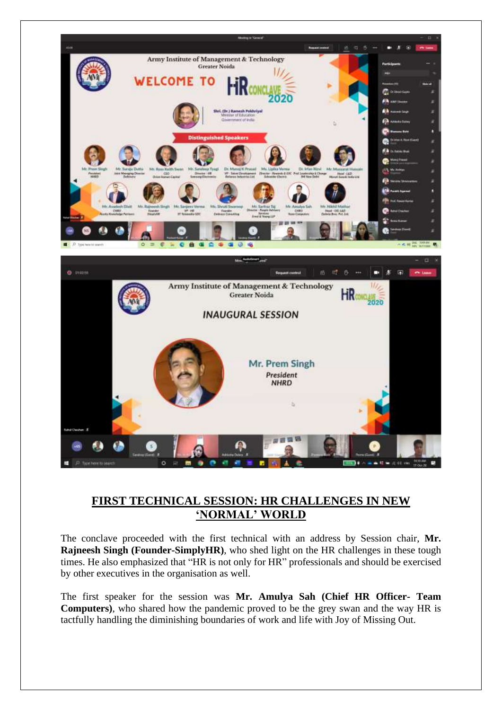

#### **FIRST TECHNICAL SESSION: HR CHALLENGES IN NEW 'NORMAL' WORLD**

The conclave proceeded with the first technical with an address by Session chair, **Mr. Rajneesh Singh (Founder-SimplyHR)**, who shed light on the HR challenges in these tough times. He also emphasized that "HR is not only for HR" professionals and should be exercised by other executives in the organisation as well.

The first speaker for the session was **Mr. Amulya Sah (Chief HR Officer- Team Computers)**, who shared how the pandemic proved to be the grey swan and the way HR is tactfully handling the diminishing boundaries of work and life with Joy of Missing Out.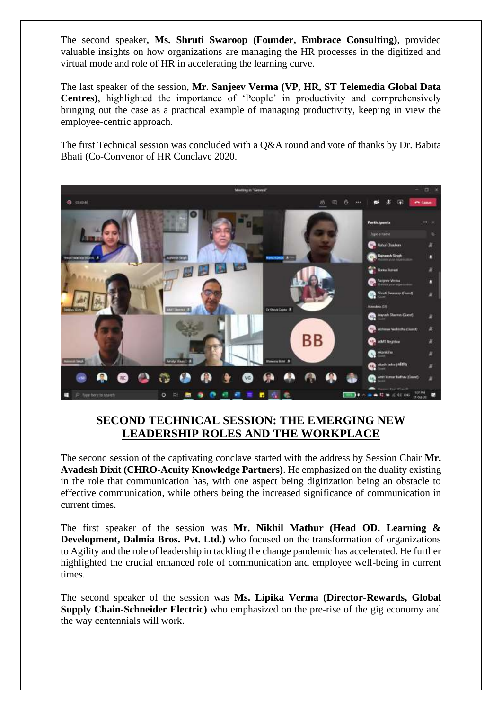The second speaker**, Ms. Shruti Swaroop (Founder, Embrace Consulting)**, provided valuable insights on how organizations are managing the HR processes in the digitized and virtual mode and role of HR in accelerating the learning curve.

The last speaker of the session, **Mr. Sanjeev Verma (VP, HR, ST Telemedia Global Data Centres)**, highlighted the importance of 'People' in productivity and comprehensively bringing out the case as a practical example of managing productivity, keeping in view the employee-centric approach.

The first Technical session was concluded with a Q&A round and vote of thanks by Dr. Babita Bhati (Co-Convenor of HR Conclave 2020.



#### **SECOND TECHNICAL SESSION: THE EMERGING NEW LEADERSHIP ROLES AND THE WORKPLACE**

The second session of the captivating conclave started with the address by Session Chair **Mr. Avadesh Dixit (CHRO-Acuity Knowledge Partners)**. He emphasized on the duality existing in the role that communication has, with one aspect being digitization being an obstacle to effective communication, while others being the increased significance of communication in current times.

The first speaker of the session was **Mr. Nikhil Mathur (Head OD, Learning & Development, Dalmia Bros. Pvt. Ltd.)** who focused on the transformation of organizations to Agility and the role of leadership in tackling the change pandemic has accelerated. He further highlighted the crucial enhanced role of communication and employee well-being in current times.

The second speaker of the session was **Ms. Lipika Verma (Director-Rewards, Global Supply Chain-Schneider Electric)** who emphasized on the pre-rise of the gig economy and the way centennials will work.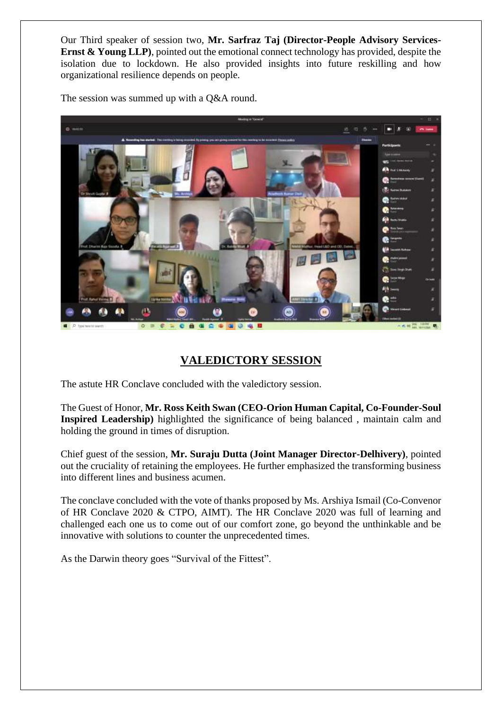Our Third speaker of session two, **Mr. Sarfraz Taj (Director-People Advisory Services-Ernst & Young LLP**), pointed out the emotional connect technology has provided, despite the isolation due to lockdown. He also provided insights into future reskilling and how organizational resilience depends on people.



The session was summed up with a O&A round.

### **VALEDICTORY SESSION**

The astute HR Conclave concluded with the valedictory session.

The Guest of Honor, **Mr. Ross Keith Swan (CEO-Orion Human Capital, Co-Founder-Soul Inspired Leadership)** highlighted the significance of being balanced , maintain calm and holding the ground in times of disruption.

Chief guest of the session, **Mr. Suraju Dutta (Joint Manager Director-Delhivery)**, pointed out the cruciality of retaining the employees. He further emphasized the transforming business into different lines and business acumen.

The conclave concluded with the vote of thanks proposed by Ms. Arshiya Ismail (Co-Convenor of HR Conclave 2020 & CTPO, AIMT). The HR Conclave 2020 was full of learning and challenged each one us to come out of our comfort zone, go beyond the unthinkable and be innovative with solutions to counter the unprecedented times.

As the Darwin theory goes "Survival of the Fittest".